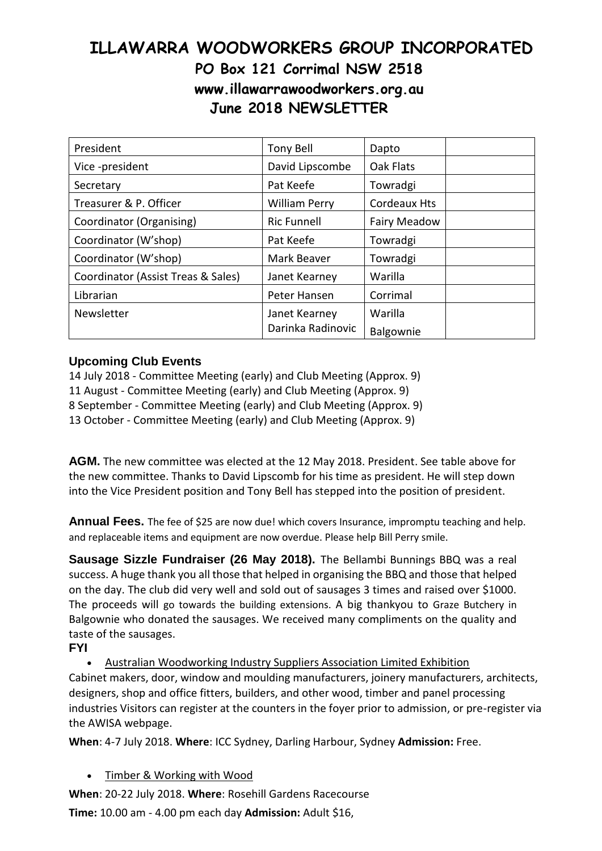## **ILLAWARRA WOODWORKERS GROUP INCORPORATED PO Box 121 Corrimal NSW 2518 www.illawarrawoodworkers.org.au June 2018 NEWSLETTER**

| President                          | Tony Bell            | Dapto               |  |
|------------------------------------|----------------------|---------------------|--|
| Vice -president                    | David Lipscombe      | Oak Flats           |  |
| Secretary                          | Pat Keefe            | Towradgi            |  |
| Treasurer & P. Officer             | <b>William Perry</b> | <b>Cordeaux Hts</b> |  |
| Coordinator (Organising)           | <b>Ric Funnell</b>   | Fairy Meadow        |  |
| Coordinator (W'shop)               | Pat Keefe            | Towradgi            |  |
| Coordinator (W'shop)               | Mark Beaver          | Towradgi            |  |
| Coordinator (Assist Treas & Sales) | Janet Kearney        | Warilla             |  |
| Librarian                          | Peter Hansen         | Corrimal            |  |
| Newsletter                         | Janet Kearney        | Warilla             |  |
|                                    | Darinka Radinovic    | Balgownie           |  |

## **Upcoming Club Events**

14 July 2018 - Committee Meeting (early) and Club Meeting (Approx. 9) 11 August - Committee Meeting (early) and Club Meeting (Approx. 9) 8 September - Committee Meeting (early) and Club Meeting (Approx. 9) 13 October - Committee Meeting (early) and Club Meeting (Approx. 9)

**AGM.** The new committee was elected at the 12 May 2018. President. See table above for the new committee. Thanks to David Lipscomb for his time as president. He will step down into the Vice President position and Tony Bell has stepped into the position of president.

**Annual Fees.** The fee of \$25 are now due! which covers Insurance, impromptu teaching and help. and replaceable items and equipment are now overdue. Please help Bill Perry smile.

**Sausage Sizzle Fundraiser (26 May 2018).** The Bellambi Bunnings BBQ was a real success. A huge thank you all those that helped in organising the BBQ and those that helped on the day. The club did very well and sold out of sausages 3 times and raised over \$1000. The proceeds will go towards the building extensions. A big thankyou to Graze Butchery in Balgownie who donated the sausages. We received many compliments on the quality and taste of the sausages.

## **FYI**

 Australian Woodworking Industry Suppliers Association Limited Exhibition Cabinet makers, door, window and moulding manufacturers, joinery manufacturers, architects, designers, shop and office fitters, builders, and other wood, timber and panel processing industries Visitors can register at the counters in the foyer prior to admission, or pre-register via the AWISA webpage.

**When**: 4-7 July 2018. **Where**: ICC Sydney, Darling Harbour, Sydney **Admission:** Free.

Timber & Working with Wood

**When**: 20-22 July 2018. **Where**: Rosehill Gardens Racecourse **Time:** 10.00 am - 4.00 pm each day **Admission:** Adult \$16,